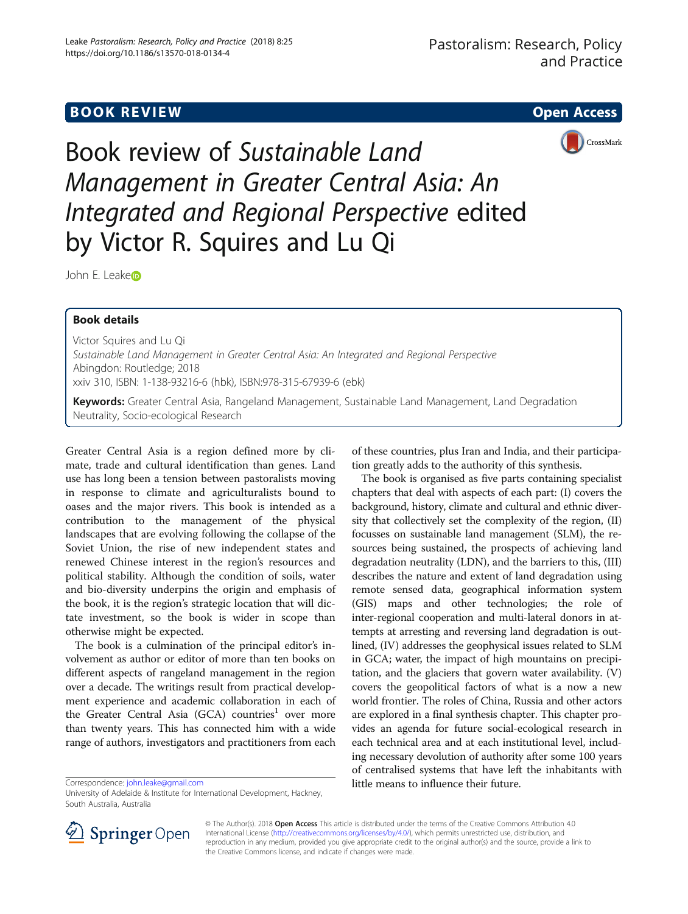# **BOOK REVIEW CONTROL** BOOK REVIEW



Book review of Sustainable Land Management in Greater Central Asia: An Integrated and Regional Perspective edited by Victor R. Squires and Lu Qi

John E. L[e](http://orcid.org/0000-0002-1140-8170)ake<sub>D</sub>

# Book details

Victor Squires and Lu Qi Sustainable Land Management in Greater Central Asia: An Integrated and Regional Perspective Abingdon: Routledge; 2018 xxiv 310, ISBN: 1-138-93216-6 (hbk), ISBN:978-315-67939-6 (ebk)

Keywords: Greater Central Asia, Rangeland Management, Sustainable Land Management, Land Degradation Neutrality, Socio-ecological Research

Greater Central Asia is a region defined more by climate, trade and cultural identification than genes. Land use has long been a tension between pastoralists moving in response to climate and agriculturalists bound to oases and the major rivers. This book is intended as a contribution to the management of the physical landscapes that are evolving following the collapse of the Soviet Union, the rise of new independent states and renewed Chinese interest in the region's resources and political stability. Although the condition of soils, water and bio-diversity underpins the origin and emphasis of the book, it is the region's strategic location that will dictate investment, so the book is wider in scope than otherwise might be expected.

The book is a culmination of the principal editor's involvement as author or editor of more than ten books on different aspects of rangeland management in the region over a decade. The writings result from practical development experience and academic collaboration in each of the Greater Central Asia (GCA) countries<sup>1</sup> over more than twenty years. This has connected him with a wide range of authors, investigators and practitioners from each

of these countries, plus Iran and India, and their participation greatly adds to the authority of this synthesis.

The book is organised as five parts containing specialist chapters that deal with aspects of each part: (I) covers the background, history, climate and cultural and ethnic diversity that collectively set the complexity of the region, (II) focusses on sustainable land management (SLM), the resources being sustained, the prospects of achieving land degradation neutrality (LDN), and the barriers to this, (III) describes the nature and extent of land degradation using remote sensed data, geographical information system (GIS) maps and other technologies; the role of inter-regional cooperation and multi-lateral donors in attempts at arresting and reversing land degradation is outlined, (IV) addresses the geophysical issues related to SLM in GCA; water, the impact of high mountains on precipitation, and the glaciers that govern water availability. (V) covers the geopolitical factors of what is a now a new world frontier. The roles of China, Russia and other actors are explored in a final synthesis chapter. This chapter provides an agenda for future social-ecological research in each technical area and at each institutional level, including necessary devolution of authority after some 100 years of centralised systems that have left the inhabitants with Correspondence: little means to influence their future. [john.leake@gmail.com](mailto:john.leake@gmail.com)



© The Author(s). 2018 Open Access This article is distributed under the terms of the Creative Commons Attribution 4.0 International License ([http://creativecommons.org/licenses/by/4.0/\)](http://creativecommons.org/licenses/by/4.0/), which permits unrestricted use, distribution, and reproduction in any medium, provided you give appropriate credit to the original author(s) and the source, provide a link to the Creative Commons license, and indicate if changes were made.

University of Adelaide & Institute for International Development, Hackney, South Australia, Australia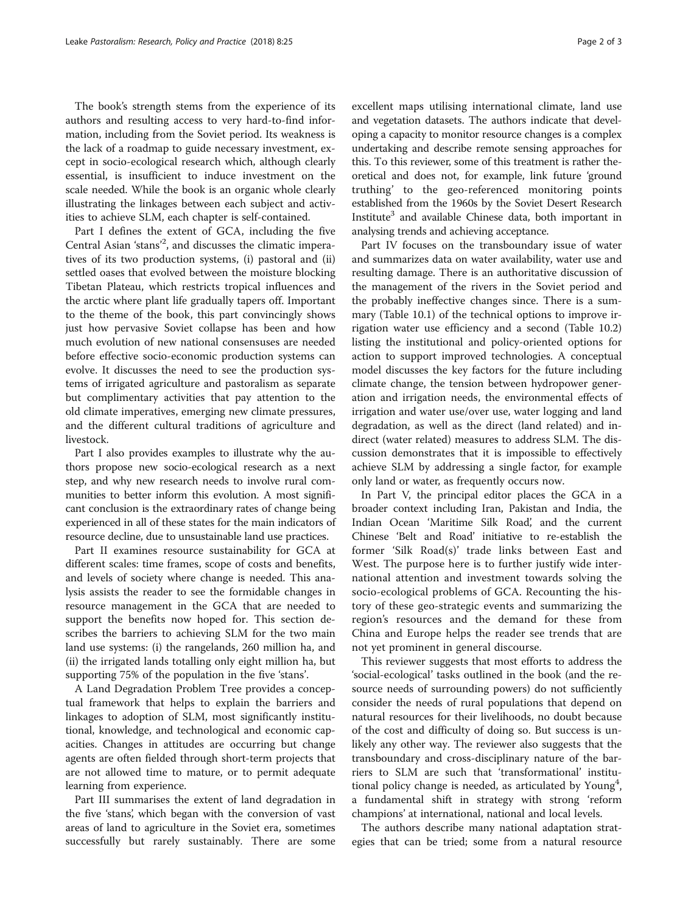The book's strength stems from the experience of its authors and resulting access to very hard-to-find information, including from the Soviet period. Its weakness is the lack of a roadmap to guide necessary investment, except in socio-ecological research which, although clearly essential, is insufficient to induce investment on the scale needed. While the book is an organic whole clearly illustrating the linkages between each subject and activities to achieve SLM, each chapter is self-contained.

Part I defines the extent of GCA, including the five Central Asian 'stans'<sup>2</sup>, and discusses the climatic imperatives of its two production systems, (i) pastoral and (ii) settled oases that evolved between the moisture blocking Tibetan Plateau, which restricts tropical influences and the arctic where plant life gradually tapers off. Important to the theme of the book, this part convincingly shows just how pervasive Soviet collapse has been and how much evolution of new national consensuses are needed before effective socio-economic production systems can evolve. It discusses the need to see the production systems of irrigated agriculture and pastoralism as separate but complimentary activities that pay attention to the old climate imperatives, emerging new climate pressures, and the different cultural traditions of agriculture and livestock.

Part I also provides examples to illustrate why the authors propose new socio-ecological research as a next step, and why new research needs to involve rural communities to better inform this evolution. A most significant conclusion is the extraordinary rates of change being experienced in all of these states for the main indicators of resource decline, due to unsustainable land use practices.

Part II examines resource sustainability for GCA at different scales: time frames, scope of costs and benefits, and levels of society where change is needed. This analysis assists the reader to see the formidable changes in resource management in the GCA that are needed to support the benefits now hoped for. This section describes the barriers to achieving SLM for the two main land use systems: (i) the rangelands, 260 million ha, and (ii) the irrigated lands totalling only eight million ha, but supporting 75% of the population in the five 'stans'.

A Land Degradation Problem Tree provides a conceptual framework that helps to explain the barriers and linkages to adoption of SLM, most significantly institutional, knowledge, and technological and economic capacities. Changes in attitudes are occurring but change agents are often fielded through short-term projects that are not allowed time to mature, or to permit adequate learning from experience.

Part III summarises the extent of land degradation in the five 'stans', which began with the conversion of vast areas of land to agriculture in the Soviet era, sometimes successfully but rarely sustainably. There are some excellent maps utilising international climate, land use and vegetation datasets. The authors indicate that developing a capacity to monitor resource changes is a complex undertaking and describe remote sensing approaches for this. To this reviewer, some of this treatment is rather theoretical and does not, for example, link future 'ground truthing' to the geo-referenced monitoring points established from the 1960s by the Soviet Desert Research Institute<sup>3</sup> and available Chinese data, both important in analysing trends and achieving acceptance.

Part IV focuses on the transboundary issue of water and summarizes data on water availability, water use and resulting damage. There is an authoritative discussion of the management of the rivers in the Soviet period and the probably ineffective changes since. There is a summary (Table 10.1) of the technical options to improve irrigation water use efficiency and a second (Table 10.2) listing the institutional and policy-oriented options for action to support improved technologies. A conceptual model discusses the key factors for the future including climate change, the tension between hydropower generation and irrigation needs, the environmental effects of irrigation and water use/over use, water logging and land degradation, as well as the direct (land related) and indirect (water related) measures to address SLM. The discussion demonstrates that it is impossible to effectively achieve SLM by addressing a single factor, for example only land or water, as frequently occurs now.

In Part V, the principal editor places the GCA in a broader context including Iran, Pakistan and India, the Indian Ocean 'Maritime Silk Road', and the current Chinese 'Belt and Road' initiative to re-establish the former 'Silk Road(s)' trade links between East and West. The purpose here is to further justify wide international attention and investment towards solving the socio-ecological problems of GCA. Recounting the history of these geo-strategic events and summarizing the region's resources and the demand for these from China and Europe helps the reader see trends that are not yet prominent in general discourse.

This reviewer suggests that most efforts to address the 'social-ecological' tasks outlined in the book (and the resource needs of surrounding powers) do not sufficiently consider the needs of rural populations that depend on natural resources for their livelihoods, no doubt because of the cost and difficulty of doing so. But success is unlikely any other way. The reviewer also suggests that the transboundary and cross-disciplinary nature of the barriers to SLM are such that 'transformational' institutional policy change is needed, as articulated by Young<sup>4</sup>, a fundamental shift in strategy with strong 'reform champions' at international, national and local levels.

The authors describe many national adaptation strategies that can be tried; some from a natural resource